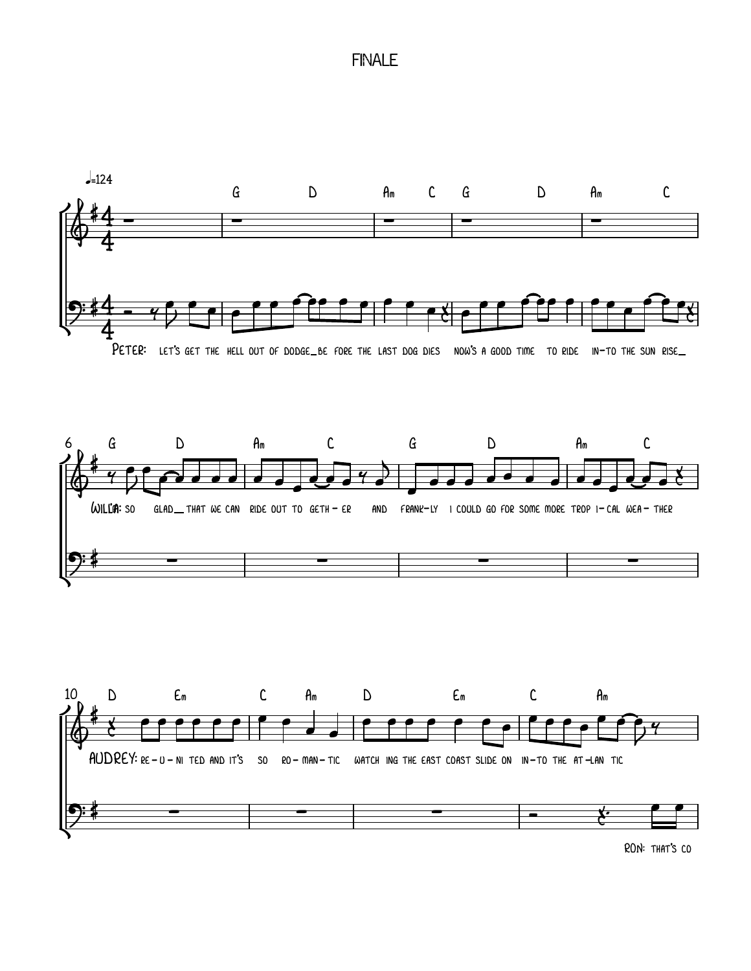## **FINALE**







RON: THAT'S CO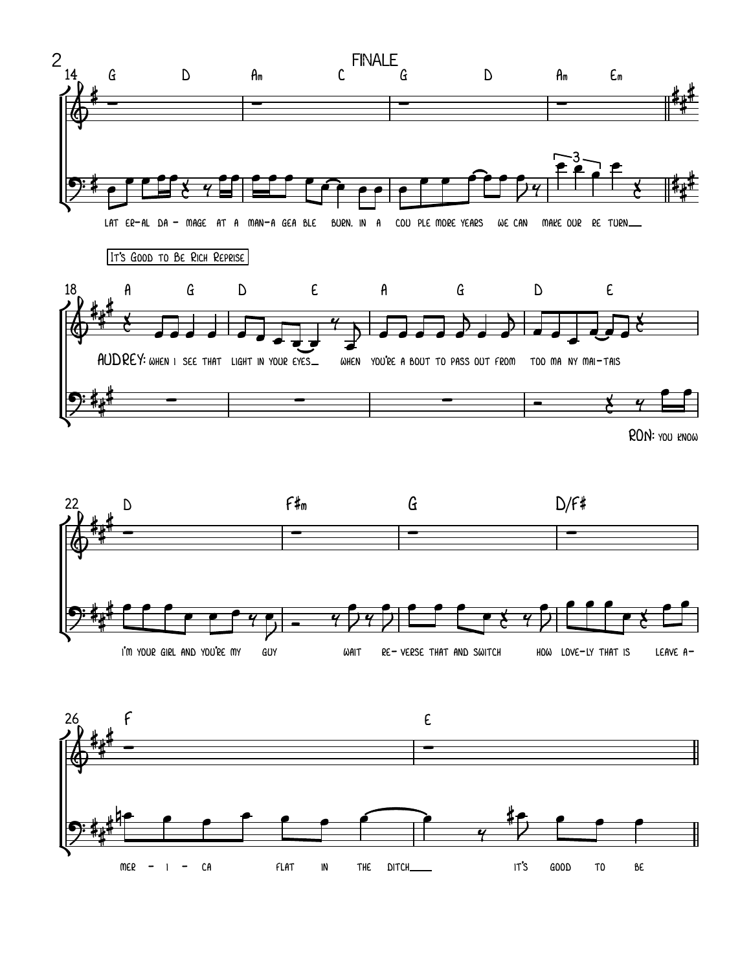



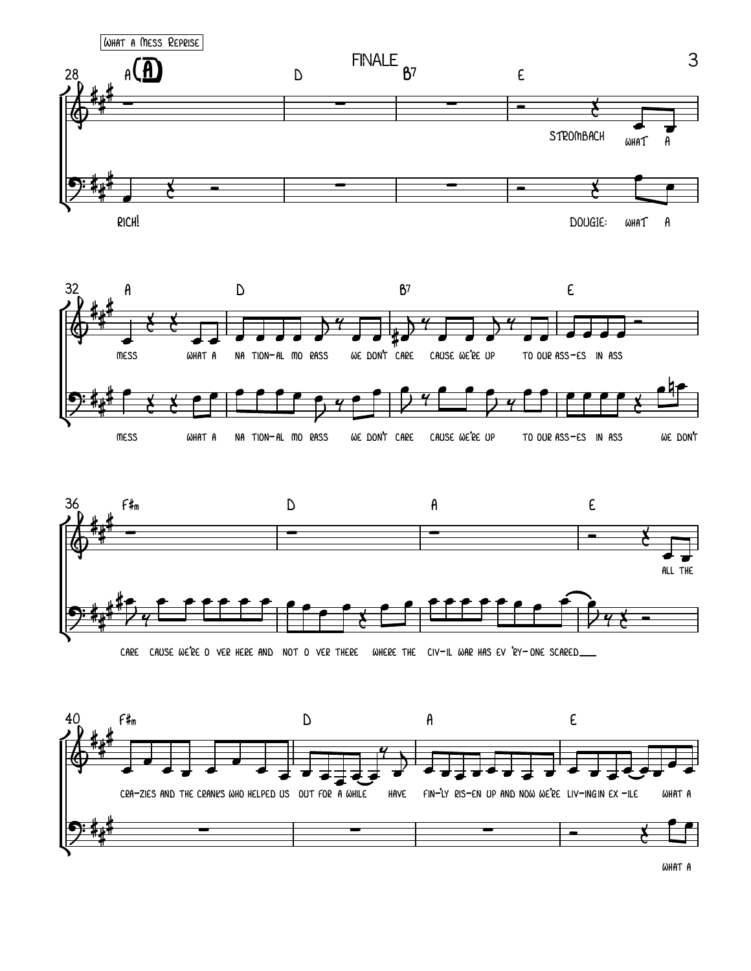

WHAT A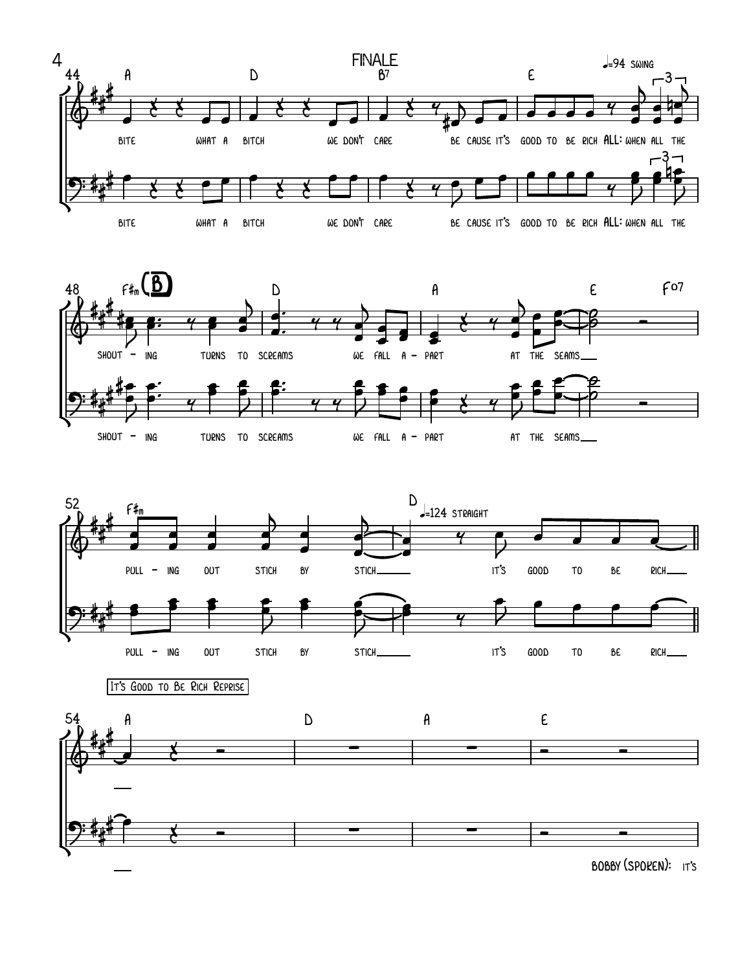







bobby(spoken): it's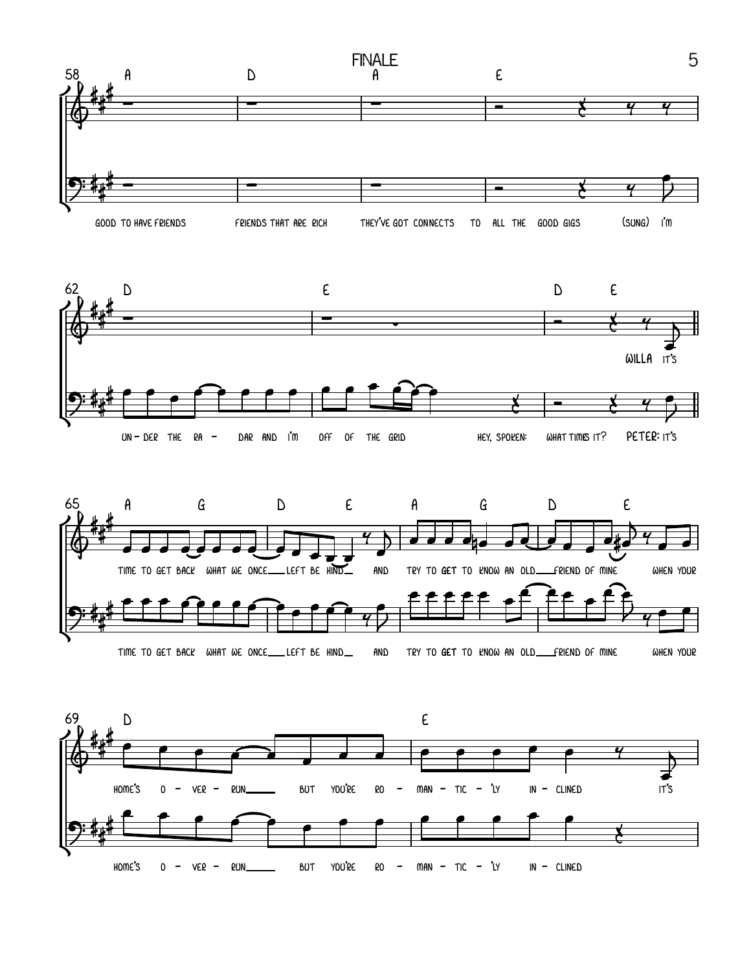